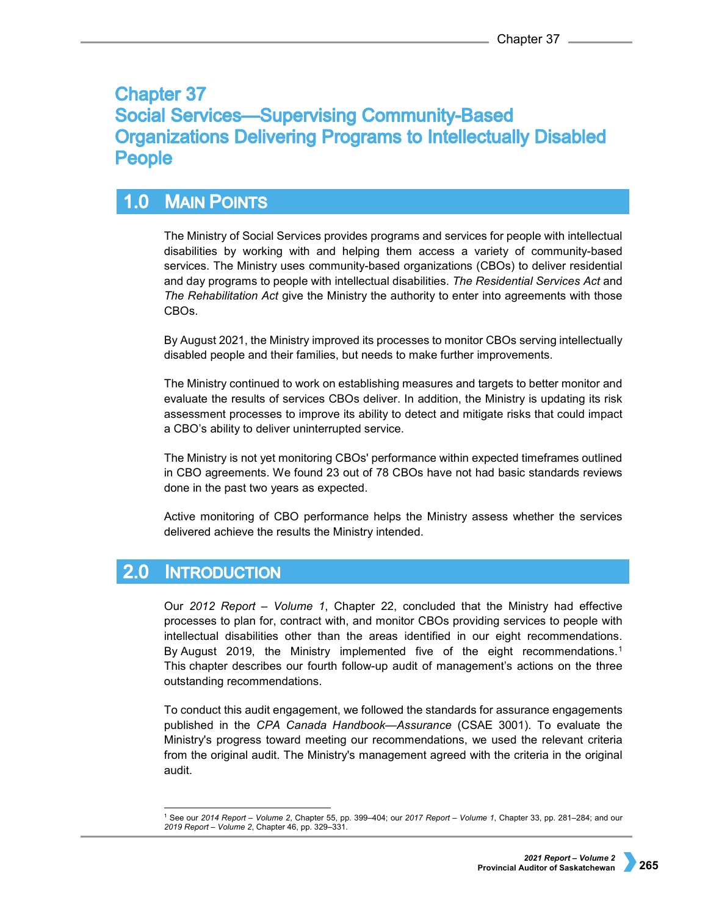# **Chapter 37 Social Services-Supervising Community-Based Organizations Delivering Programs to Intellectually Disabled People**

## **MAIN POINTS**  $1.0$

The Ministry of Social Services provides programs and services for people with intellectual disabilities by working with and helping them access a variety of community-based services. The Ministry uses community-based organizations (CBOs) to deliver residential and day programs to people with intellectual disabilities. *The Residential Services Act* and *The Rehabilitation Act* give the Ministry the authority to enter into agreements with those CBOs.

By August 2021, the Ministry improved its processes to monitor CBOs serving intellectually disabled people and their families, but needs to make further improvements.

The Ministry continued to work on establishing measures and targets to better monitor and evaluate the results of services CBOs deliver. In addition, the Ministry is updating its risk assessment processes to improve its ability to detect and mitigate risks that could impact a CBO's ability to deliver uninterrupted service.

The Ministry is not yet monitoring CBOs' performance within expected timeframes outlined in CBO agreements. We found 23 out of 78 CBOs have not had basic standards reviews done in the past two years as expected.

Active monitoring of CBO performance helps the Ministry assess whether the services delivered achieve the results the Ministry intended.

### $2.0$ **INTRODUCTION**

Our *2012 Report – Volume 1*, Chapter 22, concluded that the Ministry had effective processes to plan for, contract with, and monitor CBOs providing services to people with intellectual disabilities other than the areas identified in our eight recommendations. By August 20[1](#page-0-0)9, the Ministry implemented five of the eight recommendations.<sup>1</sup> This chapter describes our fourth follow-up audit of management's actions on the three outstanding recommendations.

To conduct this audit engagement, we followed the standards for assurance engagements published in the *CPA Canada Handbook—Assurance* (CSAE 3001). To evaluate the Ministry's progress toward meeting our recommendations, we used the relevant criteria from the original audit. The Ministry's management agreed with the criteria in the original audit.

<span id="page-0-0"></span> <sup>1</sup> See our *2014 Report – Volume 2*, Chapter 55, pp. 399–404; our *2017 Report – Volume 1*, Chapter 33, pp. 281–284; and our *2019 Report – Volume 2*, Chapter 46, pp. 329–331.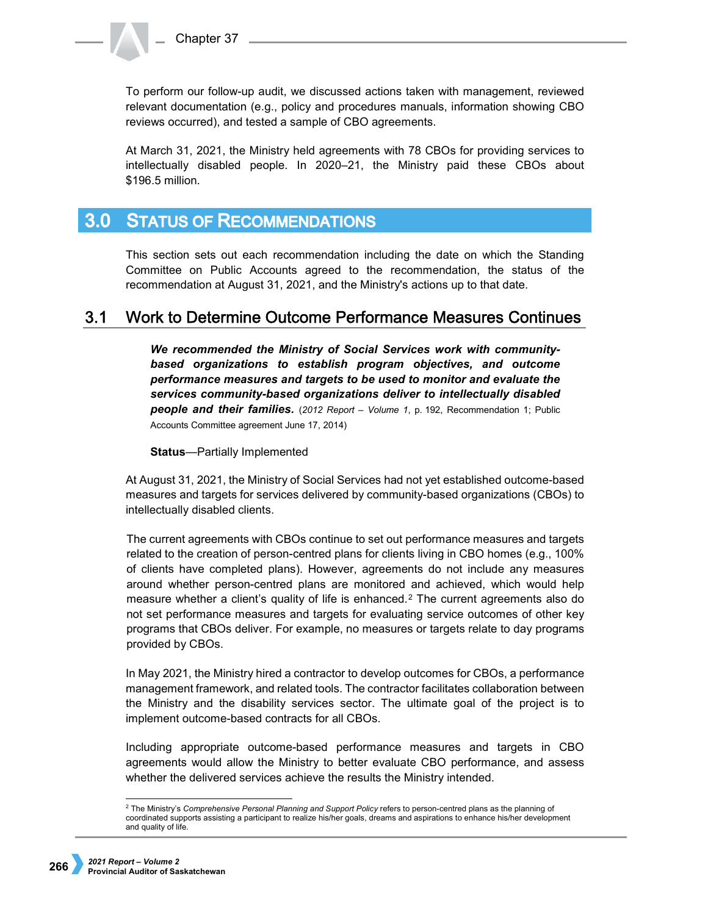To perform our follow-up audit, we discussed actions taken with management, reviewed relevant documentation (e.g., policy and procedures manuals, information showing CBO reviews occurred), and tested a sample of CBO agreements.

At March 31, 2021, the Ministry held agreements with 78 CBOs for providing services to intellectually disabled people. In 2020–21, the Ministry paid these CBOs about \$196.5 million.

#### $3.0<sub>1</sub>$ **STATUS OF RECOMMENDATIONS**

This section sets out each recommendation including the date on which the Standing Committee on Public Accounts agreed to the recommendation, the status of the recommendation at August 31, 2021, and the Ministry's actions up to that date.

#### $3.1$ Work to Determine Outcome Performance Measures Continues

*We recommended the Ministry of Social Services work with communitybased organizations to establish program objectives, and outcome performance measures and targets to be used to monitor and evaluate the services community-based organizations deliver to intellectually disabled people and their families.* (*2012 Report – Volume 1*, p. 192, Recommendation 1; Public Accounts Committee agreement June 17, 2014)

**Status**—Partially Implemented

At August 31, 2021, the Ministry of Social Services had not yet established outcome-based measures and targets for services delivered by community-based organizations (CBOs) to intellectually disabled clients.

The current agreements with CBOs continue to set out performance measures and targets related to the creation of person-centred plans for clients living in CBO homes (e.g., 100% of clients have completed plans). However, agreements do not include any measures around whether person-centred plans are monitored and achieved, which would help measure whether a client's quality of life is enhanced.[2](#page-1-0) The current agreements also do not set performance measures and targets for evaluating service outcomes of other key programs that CBOs deliver. For example, no measures or targets relate to day programs provided by CBOs.

In May 2021, the Ministry hired a contractor to develop outcomes for CBOs, a performance management framework, and related tools. The contractor facilitates collaboration between the Ministry and the disability services sector. The ultimate goal of the project is to implement outcome-based contracts for all CBOs.

Including appropriate outcome-based performance measures and targets in CBO agreements would allow the Ministry to better evaluate CBO performance, and assess whether the delivered services achieve the results the Ministry intended.

<span id="page-1-0"></span> <sup>2</sup> The Ministry's *Comprehensive Personal Planning and Support Policy* refers to person-centred plans as the planning of coordinated supports assisting a participant to realize his/her goals, dreams and aspirations to enhance his/her development and quality of life.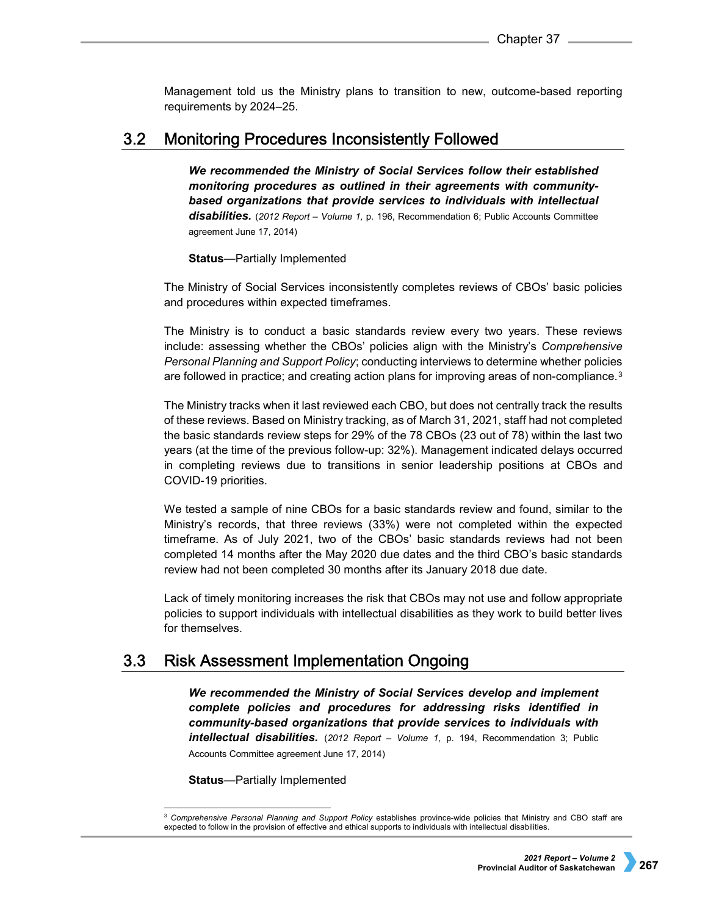Management told us the Ministry plans to transition to new, outcome-based reporting requirements by 2024–25.

#### $3.2$ **Monitoring Procedures Inconsistently Followed**

*We recommended the Ministry of Social Services follow their established monitoring procedures as outlined in their agreements with communitybased organizations that provide services to individuals with intellectual disabilities.* (*2012 Report – Volume 1,* p. 196, Recommendation 6; Public Accounts Committee agreement June 17, 2014)

# **Status**—Partially Implemented

The Ministry of Social Services inconsistently completes reviews of CBOs' basic policies and procedures within expected timeframes.

The Ministry is to conduct a basic standards review every two years. These reviews include: assessing whether the CBOs' policies align with the Ministry's *Comprehensive Personal Planning and Support Policy*; conducting interviews to determine whether policies are followed in practice; and creating action plans for improving areas of non-compliance.[3](#page-2-0)

The Ministry tracks when it last reviewed each CBO, but does not centrally track the results of these reviews. Based on Ministry tracking, as of March 31, 2021, staff had not completed the basic standards review steps for 29% of the 78 CBOs (23 out of 78) within the last two years (at the time of the previous follow-up: 32%). Management indicated delays occurred in completing reviews due to transitions in senior leadership positions at CBOs and COVID-19 priorities.

We tested a sample of nine CBOs for a basic standards review and found, similar to the Ministry's records, that three reviews (33%) were not completed within the expected timeframe. As of July 2021, two of the CBOs' basic standards reviews had not been completed 14 months after the May 2020 due dates and the third CBO's basic standards review had not been completed 30 months after its January 2018 due date.

Lack of timely monitoring increases the risk that CBOs may not use and follow appropriate policies to support individuals with intellectual disabilities as they work to build better lives for themselves.

#### $3.3$ **Risk Assessment Implementation Ongoing**

*We recommended the Ministry of Social Services develop and implement complete policies and procedures for addressing risks identified in community-based organizations that provide services to individuals with intellectual disabilities.* (*2012 Report – Volume 1*, p. 194, Recommendation 3; Public Accounts Committee agreement June 17, 2014)

**Status**—Partially Implemented

<span id="page-2-0"></span><sup>&</sup>lt;sup>3</sup> Comprehensive Personal Planning and Support Policy establishes province-wide policies that Ministry and CBO staff are expected to follow in the provision of effective and ethical supports to individuals with intellectual disabilities.